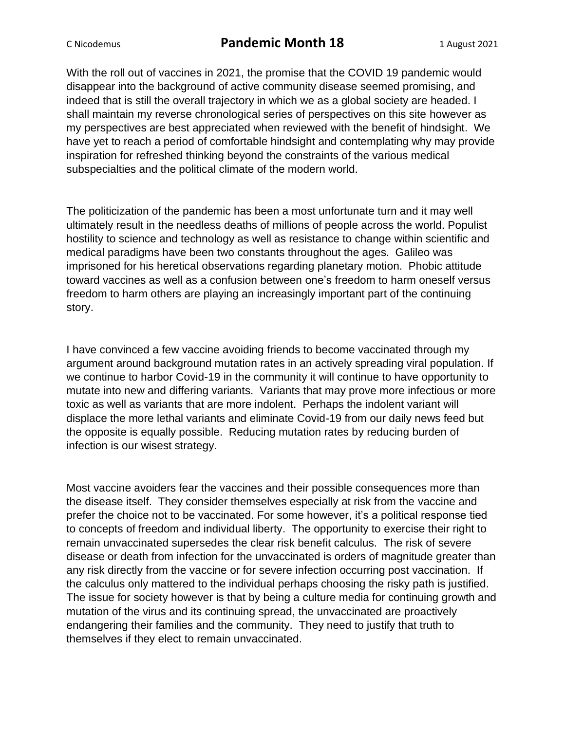With the roll out of vaccines in 2021, the promise that the COVID 19 pandemic would disappear into the background of active community disease seemed promising, and indeed that is still the overall trajectory in which we as a global society are headed. I shall maintain my reverse chronological series of perspectives on this site however as my perspectives are best appreciated when reviewed with the benefit of hindsight. We have yet to reach a period of comfortable hindsight and contemplating why may provide inspiration for refreshed thinking beyond the constraints of the various medical subspecialties and the political climate of the modern world.

The politicization of the pandemic has been a most unfortunate turn and it may well ultimately result in the needless deaths of millions of people across the world. Populist hostility to science and technology as well as resistance to change within scientific and medical paradigms have been two constants throughout the ages. Galileo was imprisoned for his heretical observations regarding planetary motion. Phobic attitude toward vaccines as well as a confusion between one's freedom to harm oneself versus freedom to harm others are playing an increasingly important part of the continuing story.

I have convinced a few vaccine avoiding friends to become vaccinated through my argument around background mutation rates in an actively spreading viral population. If we continue to harbor Covid-19 in the community it will continue to have opportunity to mutate into new and differing variants. Variants that may prove more infectious or more toxic as well as variants that are more indolent. Perhaps the indolent variant will displace the more lethal variants and eliminate Covid-19 from our daily news feed but the opposite is equally possible. Reducing mutation rates by reducing burden of infection is our wisest strategy.

Most vaccine avoiders fear the vaccines and their possible consequences more than the disease itself. They consider themselves especially at risk from the vaccine and prefer the choice not to be vaccinated. For some however, it's a political response tied to concepts of freedom and individual liberty. The opportunity to exercise their right to remain unvaccinated supersedes the clear risk benefit calculus. The risk of severe disease or death from infection for the unvaccinated is orders of magnitude greater than any risk directly from the vaccine or for severe infection occurring post vaccination. If the calculus only mattered to the individual perhaps choosing the risky path is justified. The issue for society however is that by being a culture media for continuing growth and mutation of the virus and its continuing spread, the unvaccinated are proactively endangering their families and the community. They need to justify that truth to themselves if they elect to remain unvaccinated.